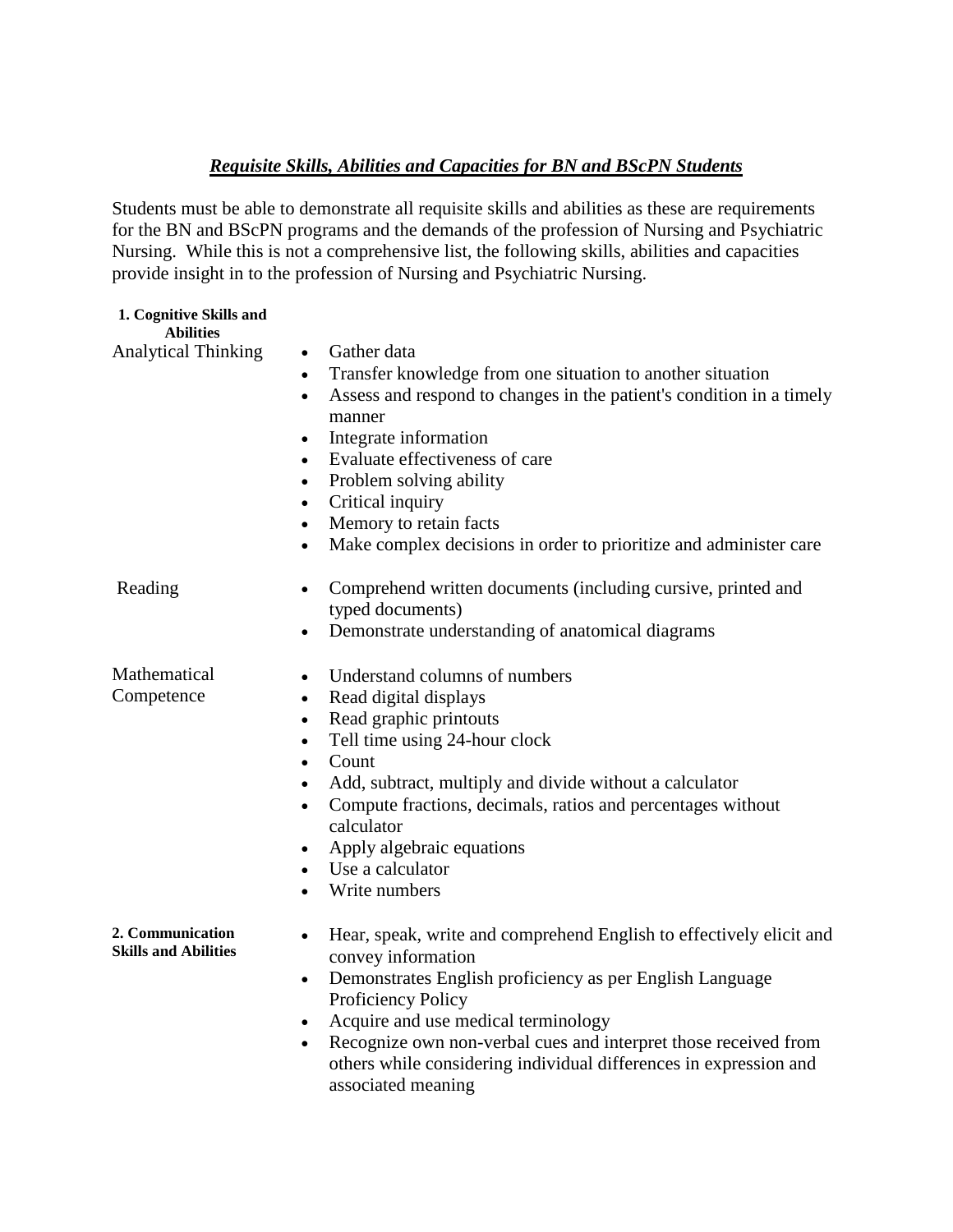## *Requisite Skills, Abilities and Capacities for BN and BScPN Students*

Students must be able to demonstrate all requisite skills and abilities as these are requirements for the BN and BScPN programs and the demands of the profession of Nursing and Psychiatric Nursing. While this is not a comprehensive list, the following skills, abilities and capacities provide insight in to the profession of Nursing and Psychiatric Nursing.

| 1. Cognitive Skills and<br><b>Abilities</b>     |                                                                                                                                                                                          |
|-------------------------------------------------|------------------------------------------------------------------------------------------------------------------------------------------------------------------------------------------|
| <b>Analytical Thinking</b>                      | Gather data<br>$\bullet$<br>Transfer knowledge from one situation to another situation<br>$\bullet$<br>Assess and respond to changes in the patient's condition in a timely<br>$\bullet$ |
|                                                 | manner                                                                                                                                                                                   |
|                                                 | Integrate information<br>$\bullet$<br>Evaluate effectiveness of care<br>$\bullet$                                                                                                        |
|                                                 | Problem solving ability<br>$\bullet$                                                                                                                                                     |
|                                                 | Critical inquiry<br>$\bullet$                                                                                                                                                            |
|                                                 | Memory to retain facts<br>$\bullet$                                                                                                                                                      |
|                                                 | Make complex decisions in order to prioritize and administer care                                                                                                                        |
| Reading                                         | Comprehend written documents (including cursive, printed and<br>$\bullet$<br>typed documents)                                                                                            |
|                                                 | Demonstrate understanding of anatomical diagrams                                                                                                                                         |
| Mathematical                                    | Understand columns of numbers                                                                                                                                                            |
| Competence                                      | Read digital displays<br>$\bullet$                                                                                                                                                       |
|                                                 | Read graphic printouts<br>$\bullet$                                                                                                                                                      |
|                                                 | Tell time using 24-hour clock<br>$\bullet$                                                                                                                                               |
|                                                 | Count<br>$\bullet$                                                                                                                                                                       |
|                                                 | Add, subtract, multiply and divide without a calculator<br>٠<br>Compute fractions, decimals, ratios and percentages without                                                              |
|                                                 | calculator                                                                                                                                                                               |
|                                                 | Apply algebraic equations<br>$\bullet$                                                                                                                                                   |
|                                                 | Use a calculator                                                                                                                                                                         |
|                                                 | Write numbers                                                                                                                                                                            |
| 2. Communication<br><b>Skills and Abilities</b> | Hear, speak, write and comprehend English to effectively elicit and<br>convey information                                                                                                |
|                                                 | Demonstrates English proficiency as per English Language<br>$\bullet$                                                                                                                    |
|                                                 | Proficiency Policy                                                                                                                                                                       |
|                                                 | Acquire and use medical terminology<br>$\bullet$                                                                                                                                         |
|                                                 | Recognize own non-verbal cues and interpret those received from<br>$\bullet$                                                                                                             |
|                                                 | others while considering individual differences in expression and<br>associated meaning                                                                                                  |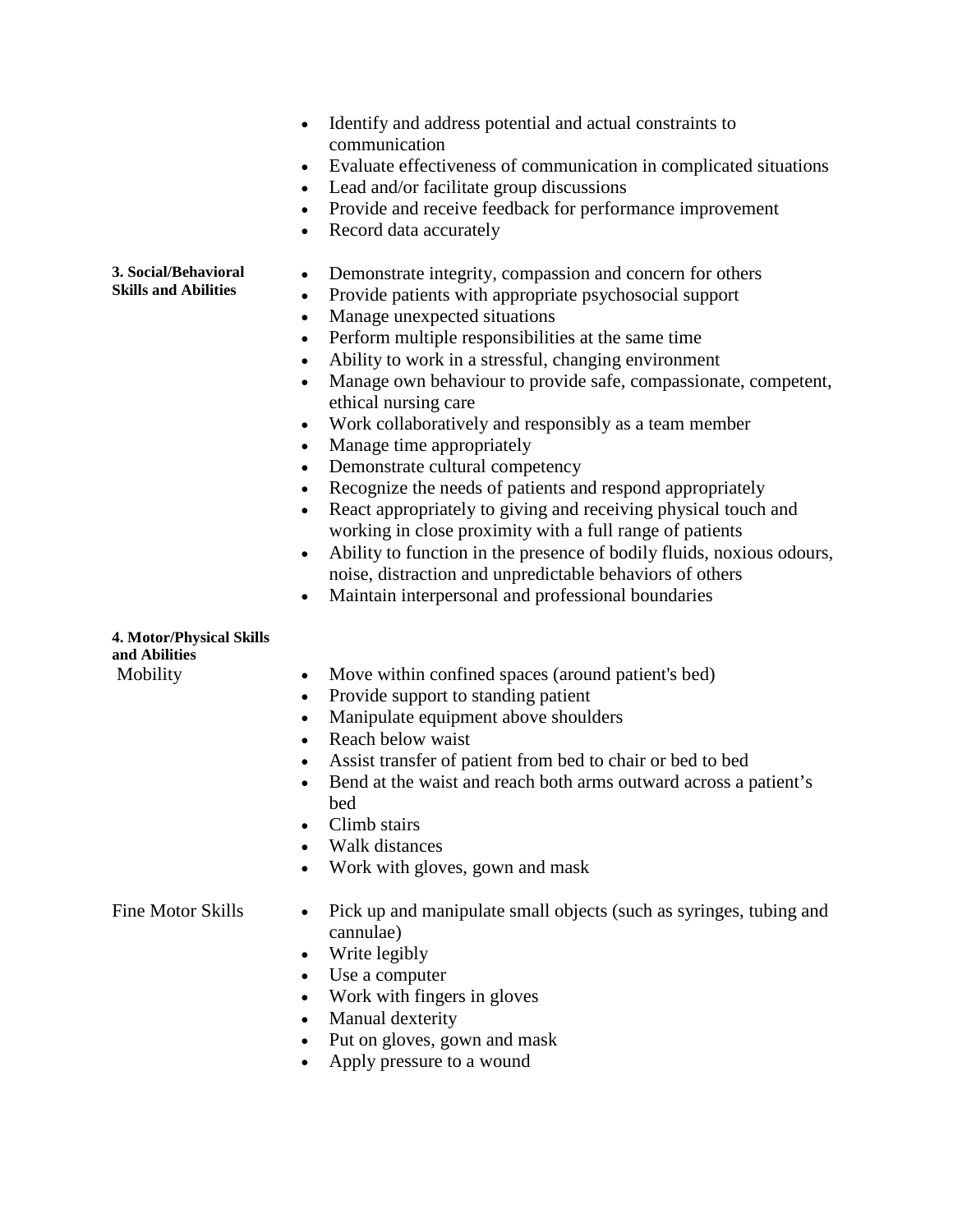|                                                     | Identify and address potential and actual constraints to<br>communication<br>Evaluate effectiveness of communication in complicated situations<br>$\bullet$<br>Lead and/or facilitate group discussions<br>$\bullet$<br>Provide and receive feedback for performance improvement<br>$\bullet$<br>Record data accurately<br>$\bullet$                                                                                                                                                                                                                                                                                                                                                                                                                                                                                                                                                                                                                                                                                                   |
|-----------------------------------------------------|----------------------------------------------------------------------------------------------------------------------------------------------------------------------------------------------------------------------------------------------------------------------------------------------------------------------------------------------------------------------------------------------------------------------------------------------------------------------------------------------------------------------------------------------------------------------------------------------------------------------------------------------------------------------------------------------------------------------------------------------------------------------------------------------------------------------------------------------------------------------------------------------------------------------------------------------------------------------------------------------------------------------------------------|
| 3. Social/Behavioral<br><b>Skills and Abilities</b> | Demonstrate integrity, compassion and concern for others<br>$\bullet$<br>Provide patients with appropriate psychosocial support<br>$\bullet$<br>Manage unexpected situations<br>$\bullet$<br>Perform multiple responsibilities at the same time<br>$\bullet$<br>Ability to work in a stressful, changing environment<br>$\bullet$<br>Manage own behaviour to provide safe, compassionate, competent,<br>$\bullet$<br>ethical nursing care<br>Work collaboratively and responsibly as a team member<br>$\bullet$<br>Manage time appropriately<br>$\bullet$<br>Demonstrate cultural competency<br>$\bullet$<br>Recognize the needs of patients and respond appropriately<br>$\bullet$<br>React appropriately to giving and receiving physical touch and<br>$\bullet$<br>working in close proximity with a full range of patients<br>Ability to function in the presence of bodily fluids, noxious odours,<br>noise, distraction and unpredictable behaviors of others<br>Maintain interpersonal and professional boundaries<br>$\bullet$ |
| 4. Motor/Physical Skills                            |                                                                                                                                                                                                                                                                                                                                                                                                                                                                                                                                                                                                                                                                                                                                                                                                                                                                                                                                                                                                                                        |
| and Abilities                                       |                                                                                                                                                                                                                                                                                                                                                                                                                                                                                                                                                                                                                                                                                                                                                                                                                                                                                                                                                                                                                                        |
| Mobility                                            | Move within confined spaces (around patient's bed)<br>$\bullet$<br>Provide support to standing patient<br>$\bullet$<br>Manipulate equipment above shoulders<br>$\bullet$<br>Reach below waist<br>$\bullet$<br>Assist transfer of patient from bed to chair or bed to bed<br>Bend at the waist and reach both arms outward across a patient's<br>$\bullet$<br>bed<br>Climb stairs<br>Walk distances<br>Work with gloves, gown and mask                                                                                                                                                                                                                                                                                                                                                                                                                                                                                                                                                                                                  |
| Fine Motor Skills                                   | Pick up and manipulate small objects (such as syringes, tubing and<br>cannulae)<br>Write legibly<br>Use a computer                                                                                                                                                                                                                                                                                                                                                                                                                                                                                                                                                                                                                                                                                                                                                                                                                                                                                                                     |

- Work with fingers in gloves
- Manual dexterity
- Put on gloves, gown and mask
- Apply pressure to a wound